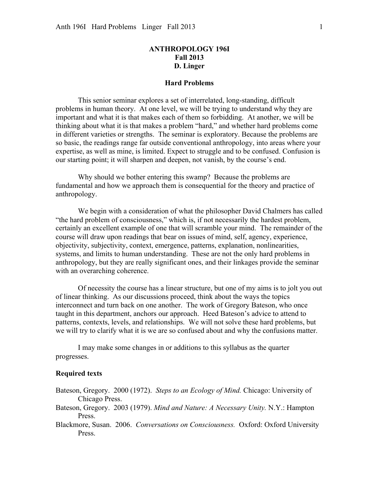# **ANTHROPOLOGY 196I Fall 2013 D. Linger**

#### **Hard Problems**

This senior seminar explores a set of interrelated, long-standing, difficult problems in human theory. At one level, we will be trying to understand why they are important and what it is that makes each of them so forbidding. At another, we will be thinking about what it is that makes a problem "hard," and whether hard problems come in different varieties or strengths. The seminar is exploratory. Because the problems are so basic, the readings range far outside conventional anthropology, into areas where your expertise, as well as mine, is limited. Expect to struggle and to be confused. Confusion is our starting point; it will sharpen and deepen, not vanish, by the course's end.

Why should we bother entering this swamp? Because the problems are fundamental and how we approach them is consequential for the theory and practice of anthropology.

We begin with a consideration of what the philosopher David Chalmers has called "the hard problem of consciousness," which is, if not necessarily the hardest problem, certainly an excellent example of one that will scramble your mind. The remainder of the course will draw upon readings that bear on issues of mind, self, agency, experience, objectivity, subjectivity, context, emergence, patterns, explanation, nonlinearities, systems, and limits to human understanding. These are not the only hard problems in anthropology, but they are really significant ones, and their linkages provide the seminar with an overarching coherence.

Of necessity the course has a linear structure, but one of my aims is to jolt you out of linear thinking. As our discussions proceed, think about the ways the topics interconnect and turn back on one another. The work of Gregory Bateson, who once taught in this department, anchors our approach. Heed Bateson's advice to attend to patterns, contexts, levels, and relationships. We will not solve these hard problems, but we will try to clarify what it is we are so confused about and why the confusions matter.

I may make some changes in or additions to this syllabus as the quarter progresses.

## **Required texts**

- Bateson, Gregory. 2000 (1972). *Steps to an Ecology of Mind.* Chicago: University of Chicago Press.
- Bateson, Gregory. 2003 (1979). *Mind and Nature: A Necessary Unity.* N.Y.: Hampton Press.
- Blackmore, Susan. 2006. *Conversations on Consciousness.* Oxford: Oxford University Press.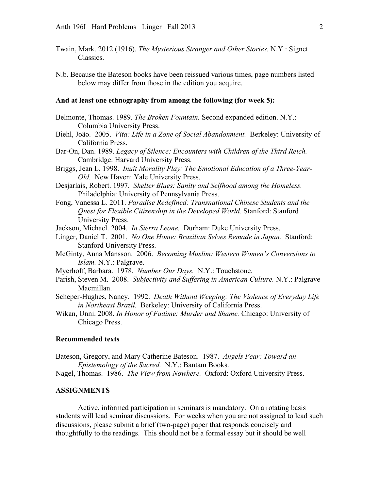- Twain, Mark. 2012 (1916). *The Mysterious Stranger and Other Stories.* N.Y.: Signet Classics.
- N.b. Because the Bateson books have been reissued various times, page numbers listed below may differ from those in the edition you acquire.

### **And at least one ethnography from among the following (for week 5):**

- Belmonte, Thomas. 1989. *The Broken Fountain.* Second expanded edition. N.Y.: Columbia University Press.
- Biehl, João. 2005. *Vita: Life in a Zone of Social Abandonment.* Berkeley: University of California Press.
- Bar-On, Dan. 1989. *Legacy of Silence: Encounters with Children of the Third Reich.* Cambridge: Harvard University Press.
- Briggs, Jean L. 1998. *Inuit Morality Play: The Emotional Education of a Three-Year-Old.* New Haven: Yale University Press.
- Desjarlais, Robert. 1997. *Shelter Blues: Sanity and Selfhood among the Homeless.* Philadelphia: University of Pennsylvania Press.
- Fong, Vanessa L. 2011. *Paradise Redefined: Transnational Chinese Students and the Quest for Flexible Citizenship in the Developed World.* Stanford: Stanford University Press.
- Jackson, Michael. 2004. *In Sierra Leone.* Durham: Duke University Press.
- Linger, Daniel T. 2001. *No One Home: Brazilian Selves Remade in Japan.* Stanford: Stanford University Press.
- McGinty, Anna Månsson. 2006. *Becoming Muslim: Western Women's Conversions to Islam.* N.Y.: Palgrave.
- Myerhoff, Barbara. 1978. *Number Our Days.* N.Y.: Touchstone.
- Parish, Steven M. 2008. *Subjectivity and Suffering in American Culture.* N.Y.: Palgrave Macmillan.
- Scheper-Hughes, Nancy. 1992. *Death Without Weeping: The Violence of Everyday Life in Northeast Brazil.* Berkeley: University of California Press.
- Wikan, Unni. 2008. *In Honor of Fadime: Murder and Shame.* Chicago: University of Chicago Press.

#### **Recommended texts**

- Bateson, Gregory, and Mary Catherine Bateson. 1987. *Angels Fear: Toward an Epistemology of the Sacred.* N.Y.: Bantam Books.
- Nagel, Thomas. 1986. *The View from Nowhere.* Oxford: Oxford University Press.

#### **ASSIGNMENTS**

Active, informed participation in seminars is mandatory. On a rotating basis students will lead seminar discussions. For weeks when you are not assigned to lead such discussions, please submit a brief (two-page) paper that responds concisely and thoughtfully to the readings. This should not be a formal essay but it should be well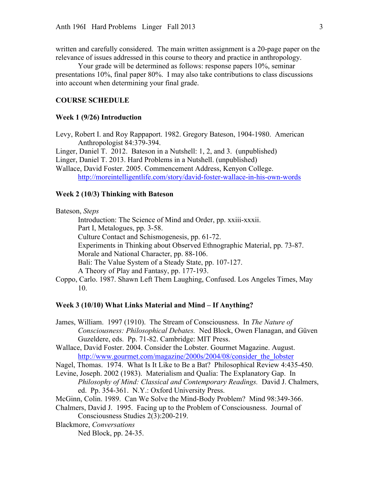written and carefully considered. The main written assignment is a 20-page paper on the relevance of issues addressed in this course to theory and practice in anthropology.

Your grade will be determined as follows: response papers 10%, seminar presentations 10%, final paper 80%. I may also take contributions to class discussions into account when determining your final grade.

## **COURSE SCHEDULE**

#### **Week 1 (9/26) Introduction**

Levy, Robert I. and Roy Rappaport. 1982. Gregory Bateson, 1904-1980. American Anthropologist 84:379-394.

Linger, Daniel T. 2012. Bateson in a Nutshell: 1, 2, and 3. (unpublished)

Linger, Daniel T. 2013. Hard Problems in a Nutshell. (unpublished)

Wallace, David Foster. 2005. Commencement Address, Kenyon College. http://moreintelligentlife.com/story/david-foster-wallace-in-his-own-words

## **Week 2 (10/3) Thinking with Bateson**

Bateson, *Steps*

Introduction: The Science of Mind and Order, pp. xxiii-xxxii. Part I, Metalogues, pp. 3-58. Culture Contact and Schismogenesis, pp. 61-72. Experiments in Thinking about Observed Ethnographic Material, pp. 73-87. Morale and National Character, pp. 88-106. Bali: The Value System of a Steady State, pp. 107-127. A Theory of Play and Fantasy, pp. 177-193. Coppo, Carlo. 1987. Shawn Left Them Laughing, Confused. Los Angeles Times, May

10.

### **Week 3 (10/10) What Links Material and Mind – If Anything?**

- James, William. 1997 (1910). The Stream of Consciousness. In *The Nature of Consciousness: Philosophical Debates.* Ned Block, Owen Flanagan, and Güven Guzeldere, eds. Pp. 71-82. Cambridge: MIT Press.
- Wallace, David Foster. 2004. Consider the Lobster. Gourmet Magazine. August. http://www.gourmet.com/magazine/2000s/2004/08/consider the lobster

Nagel, Thomas. 1974. What Is It Like to Be a Bat? Philosophical Review 4:435-450.

- Levine, Joseph. 2002 (1983). Materialism and Qualia: The Explanatory Gap. In *Philosophy of Mind: Classical and Contemporary Readings.* David J. Chalmers, ed. Pp. 354-361. N.Y.: Oxford University Press.
- McGinn, Colin. 1989. Can We Solve the Mind-Body Problem? Mind 98:349-366.
- Chalmers, David J. 1995. Facing up to the Problem of Consciousness. Journal of Consciousness Studies 2(3):200-219.
- Blackmore, *Conversations*

Ned Block, pp. 24-35.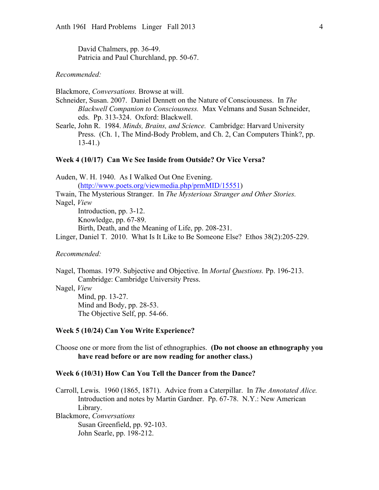David Chalmers, pp. 36-49. Patricia and Paul Churchland, pp. 50-67.

### *Recommended:*

Blackmore, *Conversations.* Browse at will.

Schneider, Susan. 2007. Daniel Dennett on the Nature of Consciousness. In *The Blackwell Companion to Consciousness.* Max Velmans and Susan Schneider, eds. Pp. 313-324. Oxford: Blackwell.

Searle, John R. 1984. *Minds, Brains, and Science.* Cambridge: Harvard University Press. (Ch. 1, The Mind-Body Problem, and Ch. 2, Can Computers Think?, pp. 13-41.)

#### **Week 4 (10/17) Can We See Inside from Outside? Or Vice Versa?**

Auden, W. H. 1940. As I Walked Out One Evening. (http://www.poets.org/viewmedia.php/prmMID/15551) Twain, The Mysterious Stranger. In *The Mysterious Stranger and Other Stories.* Nagel, *View*  Introduction, pp. 3-12. Knowledge, pp. 67-89. Birth, Death, and the Meaning of Life, pp. 208-231. Linger, Daniel T. 2010. What Is It Like to Be Someone Else? Ethos 38(2):205-229.

### *Recommended:*

Nagel, Thomas. 1979. Subjective and Objective. In *Mortal Questions.* Pp. 196-213. Cambridge: Cambridge University Press.

Nagel, *View*

Mind, pp. 13-27. Mind and Body, pp. 28-53. The Objective Self, pp. 54-66.

#### **Week 5 (10/24) Can You Write Experience?**

Choose one or more from the list of ethnographies. **(Do not choose an ethnography you have read before or are now reading for another class.)**

#### **Week 6 (10/31) How Can You Tell the Dancer from the Dance?**

Carroll, Lewis. 1960 (1865, 1871). Advice from a Caterpillar. In *The Annotated Alice.* Introduction and notes by Martin Gardner. Pp. 67-78. N.Y.: New American Library.

Blackmore, *Conversations* Susan Greenfield, pp. 92-103. John Searle, pp. 198-212.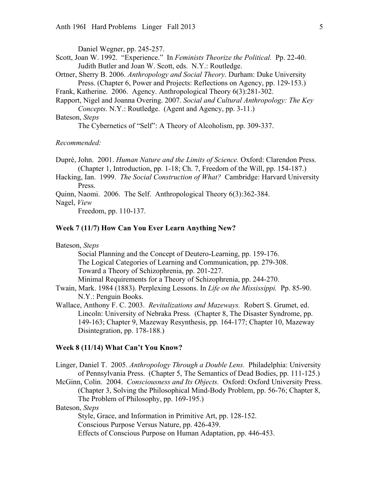Daniel Wegner, pp. 245-257.

Scott, Joan W. 1992. "Experience." In *Feminists Theorize the Political.* Pp. 22-40. Judith Butler and Joan W. Scott, eds. N.Y.: Routledge.

Ortner, Sherry B. 2006. *Anthropology and Social Theory*. Durham: Duke University Press. (Chapter 6, Power and Projects: Reflections on Agency, pp. 129-153.)

Frank, Katherine. 2006. Agency. Anthropological Theory 6(3):281-302.

Rapport, Nigel and Joanna Overing. 2007. *Social and Cultural Anthropology: The Key Concepts.* N.Y.: Routledge. (Agent and Agency, pp. 3-11.)

## Bateson, *Steps*

The Cybernetics of "Self": A Theory of Alcoholism, pp. 309-337.

## *Recommended:*

Dupré, John. 2001. *Human Nature and the Limits of Science.* Oxford: Clarendon Press. (Chapter 1, Introduction, pp. 1-18; Ch. 7, Freedom of the Will, pp. 154-187.)

Hacking, Ian. 1999. *The Social Construction of What?* Cambridge: Harvard University Press.

Quinn, Naomi. 2006. The Self. Anthropological Theory 6(3):362-384.

Nagel, *View*

Freedom, pp. 110-137.

# **Week 7 (11/7) How Can You Ever Learn Anything New?**

## Bateson, *Steps*

Social Planning and the Concept of Deutero-Learning, pp. 159-176. The Logical Categories of Learning and Communication, pp. 279-308. Toward a Theory of Schizophrenia, pp. 201-227.

Minimal Requirements for a Theory of Schizophrenia, pp. 244-270.

Twain, Mark. 1984 (1883). Perplexing Lessons. In *Life on the Mississippi.* Pp. 85-90. N.Y.: Penguin Books.

Wallace, Anthony F. C. 2003. *Revitalizations and Mazeways.* Robert S. Grumet, ed. Lincoln: University of Nebraka Press. (Chapter 8, The Disaster Syndrome, pp. 149-163; Chapter 9, Mazeway Resynthesis, pp. 164-177; Chapter 10, Mazeway Disintegration, pp. 178-188.)

### **Week 8 (11/14) What Can't You Know?**

Linger, Daniel T. 2005. *Anthropology Through a Double Lens.* Philadelphia: University of Pennsylvania Press. (Chapter 5, The Semantics of Dead Bodies, pp. 111-125.) McGinn, Colin. 2004. *Consciousness and Its Objects.* Oxford: Oxford University Press.

(Chapter 3, Solving the Philosophical Mind-Body Problem, pp. 56-76; Chapter 8, The Problem of Philosophy, pp. 169-195.)

Bateson, *Steps*

Style, Grace, and Information in Primitive Art, pp. 128-152.

Conscious Purpose Versus Nature, pp. 426-439.

Effects of Conscious Purpose on Human Adaptation, pp. 446-453.